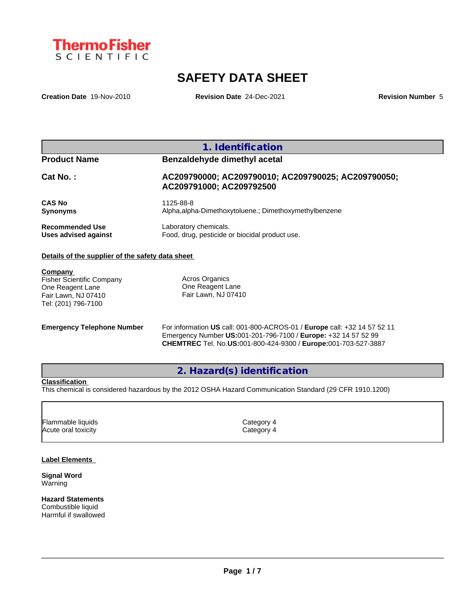

# **SAFETY DATA SHEET**

**Creation Date** 19-Nov-2010 **Revision Date** 24-Dec-2021 **Revision Number** 5

| <b>Product Name</b>    | Benzaldehyde dimethyl acetal                                                    |
|------------------------|---------------------------------------------------------------------------------|
| $Cat No.$ :            | AC209790000; AC209790010; AC209790025; AC209790050;<br>AC209791000; AC209792500 |
| <b>CAS No</b>          | 1125-88-8                                                                       |
| <b>Synonyms</b>        | Alpha, alpha-Dimethoxytoluene.: Dimethoxymethylbenzene                          |
| <b>Recommended Use</b> | Laboratory chemicals.                                                           |
| Uses advised against   | Food, drug, pesticide or biocidal product use.                                  |

**Company**  Fisher Scientific Company One Reagent Lane Fair Lawn, NJ 07410 Tel: (201) 796-7100

Acros Organics One Reagent Lane Fair Lawn, NJ 07410

**Emergency Telephone Number** For information **US** call: 001-800-ACROS-01 / **Europe** call: +32 14 57 52 11 Emergency Number **US:**001-201-796-7100 / **Europe:** +32 14 57 52 99 **CHEMTREC** Tel. No.**US:**001-800-424-9300 / **Europe:**001-703-527-3887

**2. Hazard(s) identification**

# **Classification**

This chemical is considered hazardous by the 2012 OSHA Hazard Communication Standard (29 CFR 1910.1200)

| Category 4 |  |
|------------|--|
| Category 4 |  |
|            |  |

## **Label Elements**

**Signal Word** Warning

**Hazard Statements** Combustible liquid Harmful if swallowed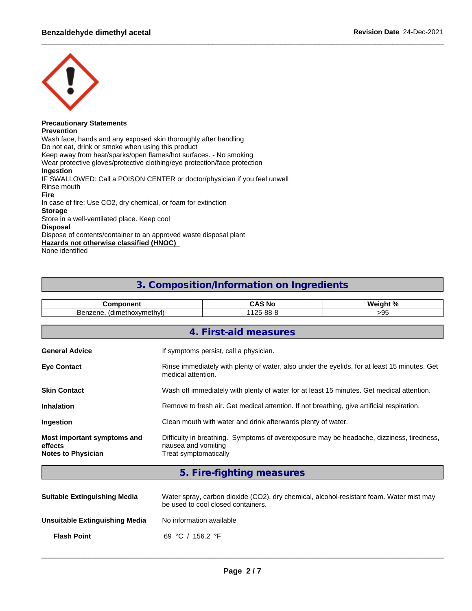

#### **Precautionary Statements Prevention**

Wash face, hands and any exposed skin thoroughly after handling Do not eat, drink or smoke when using this product Keep away from heat/sparks/open flames/hot surfaces. - No smoking Wear protective gloves/protective clothing/eye protection/face protection **Ingestion** IF SWALLOWED: Call a POISON CENTER or doctor/physician if you feel unwell Rinse mouth **Fire** In case of fire: Use CO2, dry chemical, or foam for extinction **Storage** Store in a well-ventilated place. Keep cool **Disposal** Dispose of contents/container to an approved waste disposal plant **Hazards not otherwise classified (HNOC)** None identified

# **3. Composition/Information on Ingredients**

| <b>Component</b>                                                    |                                              | <b>CAS No</b>                                                                              | Weight %                                                                                     |  |  |
|---------------------------------------------------------------------|----------------------------------------------|--------------------------------------------------------------------------------------------|----------------------------------------------------------------------------------------------|--|--|
| Benzene, (dimethoxymethyl)-                                         |                                              | 1125-88-8                                                                                  | >95                                                                                          |  |  |
|                                                                     |                                              |                                                                                            |                                                                                              |  |  |
|                                                                     |                                              | 4. First-aid measures                                                                      |                                                                                              |  |  |
| <b>General Advice</b>                                               |                                              | If symptoms persist, call a physician.                                                     |                                                                                              |  |  |
| <b>Eye Contact</b>                                                  | medical attention.                           |                                                                                            | Rinse immediately with plenty of water, also under the eyelids, for at least 15 minutes. Get |  |  |
| <b>Skin Contact</b>                                                 |                                              |                                                                                            | Wash off immediately with plenty of water for at least 15 minutes. Get medical attention.    |  |  |
| <b>Inhalation</b>                                                   |                                              | Remove to fresh air. Get medical attention. If not breathing, give artificial respiration. |                                                                                              |  |  |
| Ingestion                                                           |                                              | Clean mouth with water and drink afterwards plenty of water.                               |                                                                                              |  |  |
| Most important symptoms and<br>effects<br><b>Notes to Physician</b> | nausea and vomiting<br>Treat symptomatically |                                                                                            | Difficulty in breathing. Symptoms of overexposure may be headache, dizziness, tiredness,     |  |  |
|                                                                     |                                              | 5. Fire-fighting measures                                                                  |                                                                                              |  |  |

| <b>Suitable Extinguishing Media</b> | Water spray, carbon dioxide (CO2), dry chemical, alcohol-resistant foam. Water mist may<br>be used to cool closed containers. |
|-------------------------------------|-------------------------------------------------------------------------------------------------------------------------------|
| Unsuitable Extinguishing Media      | No information available                                                                                                      |
| <b>Flash Point</b>                  | 69 °C / 156.2 °F                                                                                                              |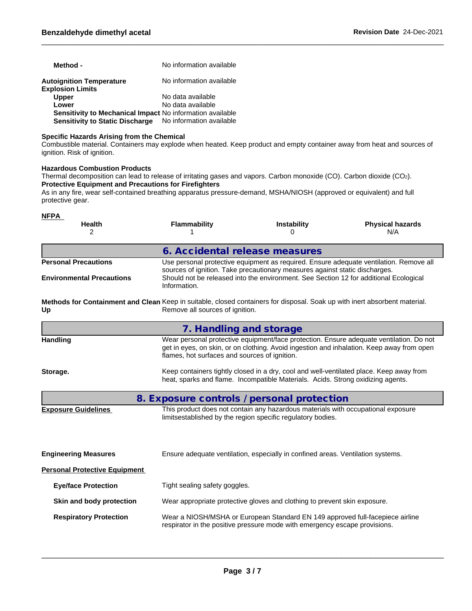| Method -                                                  | No information available |
|-----------------------------------------------------------|--------------------------|
| Autoignition Temperature                                  | No information available |
| <b>Explosion Limits</b>                                   |                          |
| <b>Upper</b>                                              | No data available        |
| Lower                                                     | No data available        |
| Sensitivity to Mechanical Impact No information available |                          |
| <b>Sensitivity to Static Discharge</b>                    | No information available |

### **Specific Hazards Arising from the Chemical**

Combustible material. Containers may explode when heated. Keep product and empty container away from heat and sources of ignition. Risk of ignition.

### **Hazardous Combustion Products**

Thermal decomposition can lead to release of irritating gases and vapors. Carbon monoxide (CO). Carbon dioxide (CO2). **Protective Equipment and Precautions for Firefighters**

As in any fire, wear self-contained breathing apparatus pressure-demand, MSHA/NIOSH (approved or equivalent) and full protective gear.

| <b>NFPA</b><br><b>Health</b><br>2                                                                                                | <b>Flammability</b>                                                                                   | Instability<br>U                                                                                                                                            | <b>Physical hazards</b><br>N/A                                                                                                                                                       |  |  |  |
|----------------------------------------------------------------------------------------------------------------------------------|-------------------------------------------------------------------------------------------------------|-------------------------------------------------------------------------------------------------------------------------------------------------------------|--------------------------------------------------------------------------------------------------------------------------------------------------------------------------------------|--|--|--|
|                                                                                                                                  | 6. Accidental release measures                                                                        |                                                                                                                                                             |                                                                                                                                                                                      |  |  |  |
| <b>Personal Precautions</b>                                                                                                      |                                                                                                       | sources of ignition. Take precautionary measures against static discharges.                                                                                 | Use personal protective equipment as required. Ensure adequate ventilation. Remove all                                                                                               |  |  |  |
| <b>Environmental Precautions</b>                                                                                                 | Should not be released into the environment. See Section 12 for additional Ecological<br>Information. |                                                                                                                                                             |                                                                                                                                                                                      |  |  |  |
| Methods for Containment and Clean Keep in suitable, closed containers for disposal. Soak up with inert absorbent material.<br>Up | Remove all sources of ignition.                                                                       |                                                                                                                                                             |                                                                                                                                                                                      |  |  |  |
|                                                                                                                                  | 7. Handling and storage                                                                               |                                                                                                                                                             |                                                                                                                                                                                      |  |  |  |
| <b>Handling</b>                                                                                                                  | flames, hot surfaces and sources of ignition.                                                         |                                                                                                                                                             | Wear personal protective equipment/face protection. Ensure adequate ventilation. Do not<br>get in eyes, on skin, or on clothing. Avoid ingestion and inhalation. Keep away from open |  |  |  |
| Storage.                                                                                                                         |                                                                                                       | heat, sparks and flame. Incompatible Materials. Acids. Strong oxidizing agents.                                                                             | Keep containers tightly closed in a dry, cool and well-ventilated place. Keep away from                                                                                              |  |  |  |
|                                                                                                                                  | 8. Exposure controls / personal protection                                                            |                                                                                                                                                             |                                                                                                                                                                                      |  |  |  |
| <b>Exposure Guidelines</b>                                                                                                       |                                                                                                       | This product does not contain any hazardous materials with occupational exposure<br>limitsestablished by the region specific regulatory bodies.             |                                                                                                                                                                                      |  |  |  |
| <b>Engineering Measures</b>                                                                                                      |                                                                                                       | Ensure adequate ventilation, especially in confined areas. Ventilation systems.                                                                             |                                                                                                                                                                                      |  |  |  |
| <b>Personal Protective Equipment</b>                                                                                             |                                                                                                       |                                                                                                                                                             |                                                                                                                                                                                      |  |  |  |
| <b>Eye/face Protection</b>                                                                                                       | Tight sealing safety goggles.                                                                         |                                                                                                                                                             |                                                                                                                                                                                      |  |  |  |
| Skin and body protection                                                                                                         |                                                                                                       | Wear appropriate protective gloves and clothing to prevent skin exposure.                                                                                   |                                                                                                                                                                                      |  |  |  |
| <b>Respiratory Protection</b>                                                                                                    |                                                                                                       | Wear a NIOSH/MSHA or European Standard EN 149 approved full-facepiece airline<br>respirator in the positive pressure mode with emergency escape provisions. |                                                                                                                                                                                      |  |  |  |
|                                                                                                                                  |                                                                                                       |                                                                                                                                                             |                                                                                                                                                                                      |  |  |  |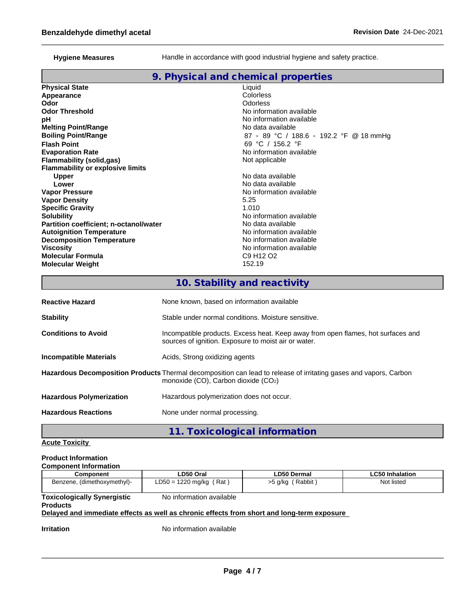Hygiene Measures **Handle** in accordance with good industrial hygiene and safety practice.

# **9. Physical and chemical properties**

| <b>Physical State</b>                   | Liquid                                        |
|-----------------------------------------|-----------------------------------------------|
| Appearance                              | Colorless                                     |
| Odor                                    | Odorless                                      |
| <b>Odor Threshold</b>                   | No information available                      |
| рH                                      | No information available                      |
| <b>Melting Point/Range</b>              | No data available                             |
| <b>Boiling Point/Range</b>              | 87 - 89 °C / 188.6 - 192.2 °F @ 18 mmHg       |
| <b>Flash Point</b>                      | 69 °C / 156.2 °F                              |
| <b>Evaporation Rate</b>                 | No information available                      |
| <b>Flammability (solid,gas)</b>         | Not applicable                                |
| <b>Flammability or explosive limits</b> |                                               |
| <b>Upper</b>                            | No data available                             |
| Lower                                   | No data available                             |
| <b>Vapor Pressure</b>                   | No information available                      |
| <b>Vapor Density</b>                    | 5.25                                          |
| <b>Specific Gravity</b>                 | 1.010                                         |
| <b>Solubility</b>                       | No information available                      |
| Partition coefficient; n-octanol/water  | No data available                             |
| <b>Autoignition Temperature</b>         | No information available                      |
| <b>Decomposition Temperature</b>        | No information available                      |
| Viscosity                               | No information available                      |
| <b>Molecular Formula</b>                | C <sub>9</sub> H <sub>12</sub> O <sub>2</sub> |
| <b>Molecular Weight</b>                 | 152.19                                        |
|                                         |                                               |

# **10. Stability and reactivity**

| <b>Reactive Hazard</b>          | None known, based on information available                                                                                                               |
|---------------------------------|----------------------------------------------------------------------------------------------------------------------------------------------------------|
| <b>Stability</b>                | Stable under normal conditions. Moisture sensitive.                                                                                                      |
| <b>Conditions to Avoid</b>      | Incompatible products. Excess heat. Keep away from open flames, hot surfaces and<br>sources of ignition. Exposure to moist air or water.                 |
| <b>Incompatible Materials</b>   | Acids, Strong oxidizing agents                                                                                                                           |
|                                 | Hazardous Decomposition Products Thermal decomposition can lead to release of irritating gases and vapors, Carbon<br>monoxide (CO), Carbon dioxide (CO2) |
| <b>Hazardous Polymerization</b> | Hazardous polymerization does not occur.                                                                                                                 |
| <b>Hazardous Reactions</b>      | None under normal processing.                                                                                                                            |
|                                 | 11. Toxicological information                                                                                                                            |

**Acute Toxicity**

# **Product Information**

| <b>Component Information</b>       |                           |                     |                 |
|------------------------------------|---------------------------|---------------------|-----------------|
| Component                          | ∟D50 Oral                 | LD50 Dermal         | LC50 Inhalation |
| Benzene, (dimethoxymethyl)-        | $LD50 = 1220$ mg/kg (Rat) | Rabbit<br>>5 g/kg / | Not listed      |
| <b>Toxicologically Synergistic</b> | No information available  |                     |                 |

**Products**

# **Delayed and immediate effects as well as chronic effects from short and long-term exposure**

**Irritation** No information available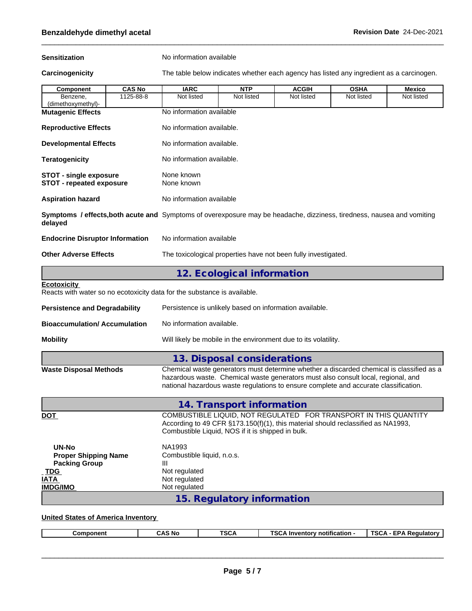**Sensitization** No information available

**Carcinogenicity** The table below indicateswhether each agency has listed any ingredient as a carcinogen.

| <b>Component</b>                                                                                                                  | <b>CAS No</b> | <b>IARC</b>                                                                                                                                                                                                                                                           | <b>NTP</b>                  | <b>ACGIH</b> | <b>OSHA</b> | Mexico     |
|-----------------------------------------------------------------------------------------------------------------------------------|---------------|-----------------------------------------------------------------------------------------------------------------------------------------------------------------------------------------------------------------------------------------------------------------------|-----------------------------|--------------|-------------|------------|
| Benzene,<br>(dimethoxymethyl)-                                                                                                    | 1125-88-8     | Not listed                                                                                                                                                                                                                                                            | Not listed                  | Not listed   | Not listed  | Not listed |
| <b>Mutagenic Effects</b>                                                                                                          |               | No information available                                                                                                                                                                                                                                              |                             |              |             |            |
| <b>Reproductive Effects</b>                                                                                                       |               | No information available.                                                                                                                                                                                                                                             |                             |              |             |            |
| <b>Developmental Effects</b>                                                                                                      |               | No information available.                                                                                                                                                                                                                                             |                             |              |             |            |
| <b>Teratogenicity</b>                                                                                                             |               | No information available.                                                                                                                                                                                                                                             |                             |              |             |            |
| <b>STOT - single exposure</b><br><b>STOT - repeated exposure</b>                                                                  |               | None known<br>None known                                                                                                                                                                                                                                              |                             |              |             |            |
| <b>Aspiration hazard</b>                                                                                                          |               | No information available                                                                                                                                                                                                                                              |                             |              |             |            |
| Symptoms / effects, both acute and Symptoms of overexposure may be headache, dizziness, tiredness, nausea and vomiting<br>delayed |               |                                                                                                                                                                                                                                                                       |                             |              |             |            |
| <b>Endocrine Disruptor Information</b>                                                                                            |               | No information available                                                                                                                                                                                                                                              |                             |              |             |            |
| <b>Other Adverse Effects</b>                                                                                                      |               | The toxicological properties have not been fully investigated.                                                                                                                                                                                                        |                             |              |             |            |
|                                                                                                                                   |               |                                                                                                                                                                                                                                                                       | 12. Ecological information  |              |             |            |
| <b>Ecotoxicity</b><br>Reacts with water so no ecotoxicity data for the substance is available.                                    |               |                                                                                                                                                                                                                                                                       |                             |              |             |            |
| <b>Persistence and Degradability</b>                                                                                              |               | Persistence is unlikely based on information available.                                                                                                                                                                                                               |                             |              |             |            |
| <b>Bioaccumulation/ Accumulation</b>                                                                                              |               | No information available.                                                                                                                                                                                                                                             |                             |              |             |            |
| <b>Mobility</b>                                                                                                                   |               | Will likely be mobile in the environment due to its volatility.                                                                                                                                                                                                       |                             |              |             |            |
|                                                                                                                                   |               |                                                                                                                                                                                                                                                                       | 13. Disposal considerations |              |             |            |
| <b>Waste Disposal Methods</b>                                                                                                     |               | Chemical waste generators must determine whether a discarded chemical is classified as a<br>hazardous waste. Chemical waste generators must also consult local, regional, and<br>national hazardous waste regulations to ensure complete and accurate classification. |                             |              |             |            |
|                                                                                                                                   |               |                                                                                                                                                                                                                                                                       | 14. Transport information   |              |             |            |
| <u>DOT</u>                                                                                                                        |               | COMBUSTIBLE LIQUID, NOT REGULATED FOR TRANSPORT IN THIS QUANTITY<br>According to 49 CFR §173.150(f)(1), this material should reclassified as NA1993,<br>Combustible Liquid, NOS if it is shipped in bulk.                                                             |                             |              |             |            |
|                                                                                                                                   |               |                                                                                                                                                                                                                                                                       |                             |              |             |            |
| <b>UN-No</b><br><b>Proper Shipping Name</b><br><b>Packing Group</b><br><b>TDG</b><br><b>IATA</b><br><b>IMDG/IMO</b>               |               | NA1993<br>Combustible liquid, n.o.s.<br>Ш<br>Not regulated<br>Not regulated<br>Not regulated                                                                                                                                                                          |                             |              |             |            |

#### **United States of America Inventory**

|--|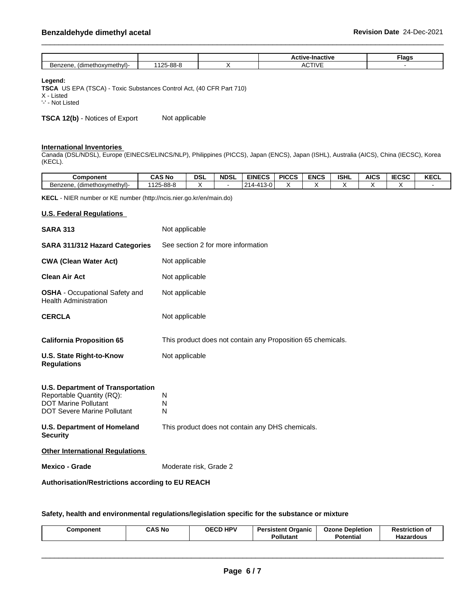|                             |                                         | lactive<br><b>AUTIVE</b><br>шас<br>. .    | <b>lags</b> |
|-----------------------------|-----------------------------------------|-------------------------------------------|-------------|
| Benzene.<br>(dimethoxymethy | . ററ <i>്</i><br>12E<br>$-0.000$<br>oc. | $\sim$ TIV $\prime$ F<br>∣IVE<br>"<br>ושר |             |

**Legend:**

**TSCA** US EPA (TSCA) - Toxic Substances Control Act, (40 CFR Part 710) X - Listed

'-' - Not Listed

**TSCA 12(b)** - Notices of Export Not applicable

#### **International Inventories**

Canada (DSL/NDSL), Europe (EINECS/ELINCS/NLP), Philippines (PICCS), Japan (ENCS), Japan (ISHL), Australia (AICS), China (IECSC), Korea (KECL).

| <b>Component</b>               | CAS No                   | <b>DSL</b> | <b>NDSL</b> | <b>EINECS</b>                                        | <b>PICCS</b> | <b>ENCS</b> | <b>ISHL</b> | <b>AICS</b> | 5000<br>wal | <b>KECL</b> |
|--------------------------------|--------------------------|------------|-------------|------------------------------------------------------|--------------|-------------|-------------|-------------|-------------|-------------|
| (dimethoxymethyl)-<br>Benzene. | 25-88-8<br>110F<br>ں ے ا |            |             | $\overline{11}$<br>$\sim$<br>$\sim$<br>. 3-11<br>. . |              |             |             |             |             |             |

**KECL** - NIER number or KE number (http://ncis.nier.go.kr/en/main.do)

### **U.S. Federal Regulations**

| Authorisation/Restrictions according to EU REACH                                                                                    |                                                             |  |  |  |  |
|-------------------------------------------------------------------------------------------------------------------------------------|-------------------------------------------------------------|--|--|--|--|
| <b>Mexico - Grade</b>                                                                                                               | Moderate risk, Grade 2                                      |  |  |  |  |
| <b>Other International Regulations</b>                                                                                              |                                                             |  |  |  |  |
| <b>U.S. Department of Homeland</b><br><b>Security</b>                                                                               | This product does not contain any DHS chemicals.            |  |  |  |  |
| U.S. Department of Transportation<br>Reportable Quantity (RQ):<br><b>DOT Marine Pollutant</b><br><b>DOT Severe Marine Pollutant</b> | N<br>N<br>N                                                 |  |  |  |  |
| U.S. State Right-to-Know<br><b>Regulations</b>                                                                                      | Not applicable                                              |  |  |  |  |
| <b>California Proposition 65</b>                                                                                                    | This product does not contain any Proposition 65 chemicals. |  |  |  |  |
| <b>CERCLA</b>                                                                                                                       | Not applicable                                              |  |  |  |  |
| <b>OSHA</b> - Occupational Safety and<br><b>Health Administration</b>                                                               | Not applicable                                              |  |  |  |  |
| <b>Clean Air Act</b>                                                                                                                | Not applicable                                              |  |  |  |  |
| <b>CWA (Clean Water Act)</b>                                                                                                        | Not applicable                                              |  |  |  |  |
| <b>SARA 311/312 Hazard Categories</b>                                                                                               | See section 2 for more information                          |  |  |  |  |
| <b>SARA 313</b>                                                                                                                     | Not applicable                                              |  |  |  |  |

**Safety, health and environmental regulations/legislation specific for the substance or mixture**

|--|